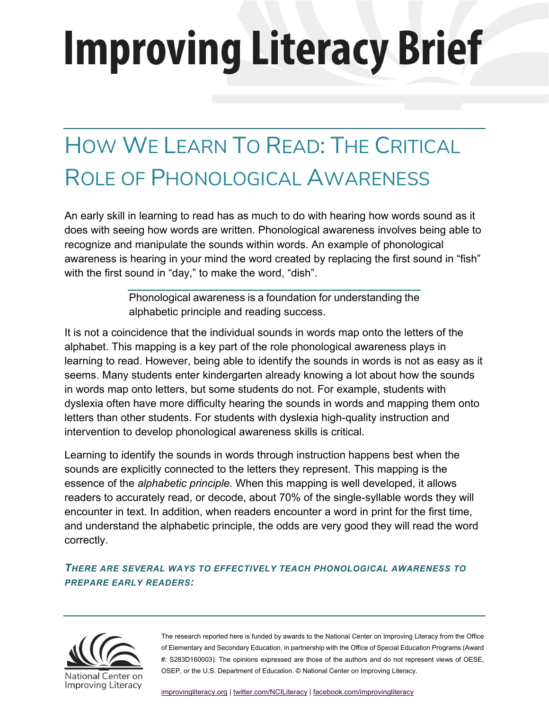# **Improving Literacy Brief**

# HOW WE LEARN TO READ: THE CRITICAL ROLE OF PHONOLOGICAL AWARENESS

An early skill in learning to read has as much to do with hearing how words sound as it does with seeing how words are written. Phonological awareness involves being able to recognize and manipulate the sounds within words. An example of phonological awareness is hearing in your mind the word created by replacing the first sound in "fish" with the first sound in "day," to make the word, "dish".

> Phonological awareness is a foundation for understanding the alphabetic principle and reading success.

It is not a coincidence that the individual sounds in words map onto the letters of the alphabet. This mapping is a key part of the role phonological awareness plays in learning to read. However, being able to identify the sounds in words is not as easy as it seems. Many students enter kindergarten already knowing a lot about how the sounds in words map onto letters, but some students do not. For example, students with dyslexia often have more difficulty hearing the sounds in words and mapping them onto letters than other students. For students with dyslexia high-quality instruction and intervention to develop phonological awareness skills is critical.

Learning to identify the sounds in words through instruction happens best when the sounds are explicitly connected to the letters they represent. This mapping is the essence of the *alphabetic principle*. When this mapping is well developed, it allows readers to accurately read, or decode, about 70% of the single-syllable words they will encounter in text. In addition, when readers encounter a word in print for the first time, and understand the alphabetic principle, the odds are very good they will read the word correctly.

*THERE ARE SEVERAL WAYS TO EFFECTIVELY TEACH PHONOLOGICAL AWARENESS TO PREPARE EARLY READERS:*

> The research reported here is funded by awards to the National Center on Improving Literacy from the Office of Elementary and Secondary Education, in partnership with the Office of Special Education Programs (Award #: S283D160003). The opinions expressed are those of the authors and do not represent views of OESE, OSEP, or the U.S. Department of Education. © National Center on Improving Literacy.

[improvingliteracy.org](https://improvingliteracy.org/) [| twitter.com/NCILiteracy](https://twitter.com/NCILiteracy) [| facebook.com/improvingliteracy](http://facebook.com/improvingliteracy)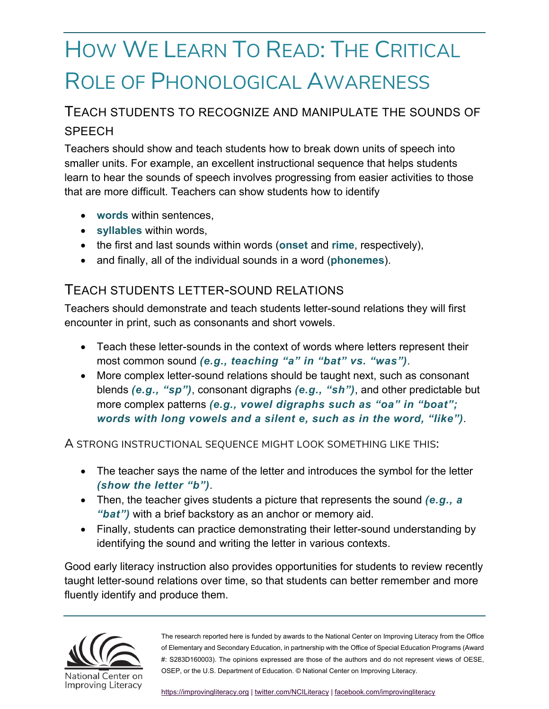# HOW WE LEARN TO READ: THE CRITICAL ROLE OF PHONOLOGICAL AWARENESS

#### TEACH STUDENTS TO RECOGNIZE AND MANIPULATE THE SOUNDS OF **SPFFCH**

Teachers should show and teach students how to break down units of speech into smaller units. For example, an excellent instructional sequence that helps students learn to hear the sounds of speech involves progressing from easier activities to those that are more difficult. Teachers can show students how to identify

- **words** within sentences,
- **syllables** within words,
- the first and last sounds within words (**onset** and **rime**, respectively),
- and finally, all of the individual sounds in a word (**phonemes**).

#### TEACH STUDENTS LETTER-SOUND RELATIONS

Teachers should demonstrate and teach students letter-sound relations they will first encounter in print, such as consonants and short vowels.

- Teach these letter-sounds in the context of words where letters represent their most common sound *(e.g., teaching "a" in "bat" vs. "was")*.
- More complex letter-sound relations should be taught next, such as consonant blends *(e.g., "sp")*, consonant digraphs *(e.g., "sh")*, and other predictable but more complex patterns *(e.g., vowel digraphs such as "oa" in "boat"; words with long vowels and a silent e, such as in the word, "like")*.

A STRONG INSTRUCTIONAL SEQUENCE MIGHT LOOK SOMETHING LIKE THIS:

- The teacher says the name of the letter and introduces the symbol for the letter *(show the letter "b")*.
- Then, the teacher gives students a picture that represents the sound *(e.g., a "bat")* with a brief backstory as an anchor or memory aid.
- Finally, students can practice demonstrating their letter-sound understanding by identifying the sound and writing the letter in various contexts.

Good early literacy instruction also provides opportunities for students to review recently taught letter-sound relations over time, so that students can better remember and more fluently identify and produce them.

> The research reported here is funded by awards to the National Center on Improving Literacy from the Office of Elementary and Secondary Education, in partnership with the Office of Special Education Programs (Award #: S283D160003). The opinions expressed are those of the authors and do not represent views of OESE, OSEP, or the U.S. Department of Education. © National Center on Improving Literacy.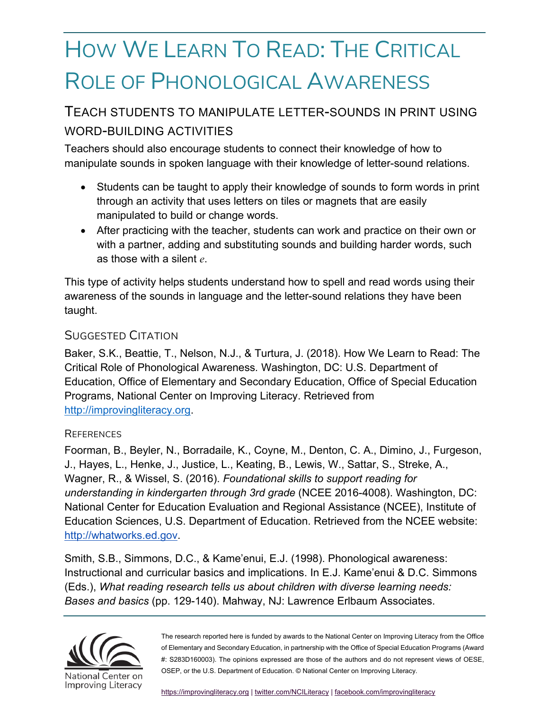## HOW WE LEARN TO READ: THE CRITICAL ROLE OF PHONOLOGICAL AWARENESS

## TEACH STUDENTS TO MANIPULATE LETTER-SOUNDS IN PRINT USING WORD-BUILDING ACTIVITIES

Teachers should also encourage students to connect their knowledge of how to manipulate sounds in spoken language with their knowledge of letter-sound relations.

- Students can be taught to apply their knowledge of sounds to form words in print through an activity that uses letters on tiles or magnets that are easily manipulated to build or change words.
- After practicing with the teacher, students can work and practice on their own or with a partner, adding and substituting sounds and building harder words, such as those with a silent *e*.

This type of activity helps students understand how to spell and read words using their awareness of the sounds in language and the letter-sound relations they have been taught.

#### SUGGESTED CITATION

Baker, S.K., Beattie, T., Nelson, N.J., & Turtura, J. (2018). How We Learn to Read: The Critical Role of Phonological Awareness*.* Washington, DC: U.S. Department of Education, Office of Elementary and Secondary Education, Office of Special Education Programs, National Center on Improving Literacy. Retrieved from [http://improvingliteracy.org.](http://improvingliteracy.org/)

#### **REFERENCES**

Foorman, B., Beyler, N., Borradaile, K., Coyne, M., Denton, C. A., Dimino, J., Furgeson, J., Hayes, L., Henke, J., Justice, L., Keating, B., Lewis, W., Sattar, S., Streke, A., Wagner, R., & Wissel, S. (2016). *Foundational skills to support reading for understanding in kindergarten through 3rd grade* (NCEE 2016-4008). Washington, DC: National Center for Education Evaluation and Regional Assistance (NCEE), Institute of Education Sciences, U.S. Department of Education. Retrieved from the NCEE website: [http://whatworks.ed.gov.](http://whatworks.ed.gov/)

Smith, S.B., Simmons, D.C., & Kame'enui, E.J. (1998). Phonological awareness: Instructional and curricular basics and implications. In E.J. Kame'enui & D.C. Simmons (Eds.), *What reading research tells us about children with diverse learning needs: Bases and basics* (pp. 129-140). Mahway, NJ: Lawrence Erlbaum Associates.

> The research reported here is funded by awards to the National Center on Improving Literacy from the Office of Elementary and Secondary Education, in partnership with the Office of Special Education Programs (Award #: S283D160003). The opinions expressed are those of the authors and do not represent views of OESE, OSEP, or the U.S. Department of Education. © National Center on Improving Literacy.